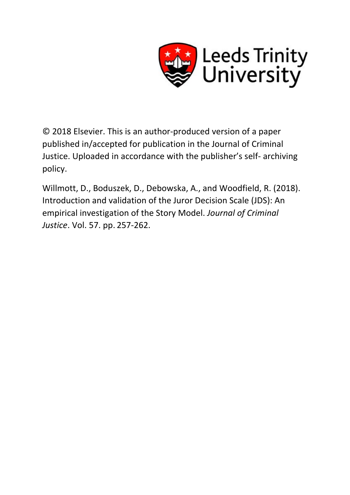

© 2018 Elsevier. This is an author-produced version of a paper published in/accepted for publication in the Journal of Criminal Justice. Uploaded in accordance with the publisher's self- archiving policy.

Willmott, D., Boduszek, D., Debowska, A., and Woodfield, R. (2018). Introduction and validation of the Juror Decision Scale (JDS): An empirical investigation of the Story Model. *Journal of Criminal Justice*. Vol. 57. pp. 257-262.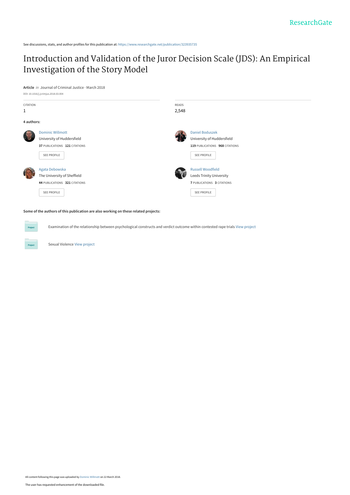See discussions, stats, and author profiles for this publication at: [https://www.researchgate.net/publication/323935735](https://www.researchgate.net/publication/323935735_Introduction_and_Validation_of_the_Juror_Decision_Scale_JDS_An_Empirical_Investigation_of_the_Story_Model?enrichId=rgreq-164413a7b52c512363ef3e70c5ab94e6-XXX&enrichSource=Y292ZXJQYWdlOzMyMzkzNTczNTtBUzo2MDY5MzUxODc0NjAwOTZAMTUyMTcxNjAzMzA0MQ%3D%3D&el=1_x_2&_esc=publicationCoverPdf)

# [Introduction and Validation of the Juror Decision Scale \(JDS\): An Empirical](https://www.researchgate.net/publication/323935735_Introduction_and_Validation_of_the_Juror_Decision_Scale_JDS_An_Empirical_Investigation_of_the_Story_Model?enrichId=rgreq-164413a7b52c512363ef3e70c5ab94e6-XXX&enrichSource=Y292ZXJQYWdlOzMyMzkzNTczNTtBUzo2MDY5MzUxODc0NjAwOTZAMTUyMTcxNjAzMzA0MQ%3D%3D&el=1_x_3&_esc=publicationCoverPdf) Investigation of the Story Model

**Article** in Journal of Criminal Justice · March 2018



**Some of the authors of this publication are also working on these related projects:**

Examination of the relationship between psychological constructs and verdict outcome within contested rape trials [View project](https://www.researchgate.net/project/Examination-of-the-relationship-between-psychological-constructs-and-verdict-outcome-within-contested-rape-trials?enrichId=rgreq-164413a7b52c512363ef3e70c5ab94e6-XXX&enrichSource=Y292ZXJQYWdlOzMyMzkzNTczNTtBUzo2MDY5MzUxODc0NjAwOTZAMTUyMTcxNjAzMzA0MQ%3D%3D&el=1_x_9&_esc=publicationCoverPdf)

Sexual Violence [View project](https://www.researchgate.net/project/Sexual-Violence-2?enrichId=rgreq-164413a7b52c512363ef3e70c5ab94e6-XXX&enrichSource=Y292ZXJQYWdlOzMyMzkzNTczNTtBUzo2MDY5MzUxODc0NjAwOTZAMTUyMTcxNjAzMzA0MQ%3D%3D&el=1_x_9&_esc=publicationCoverPdf)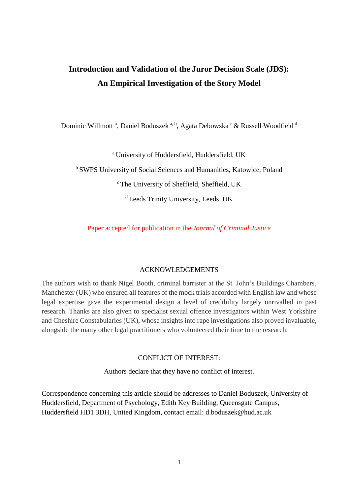# **Introduction and Validation of the Juror Decision Scale (JDS): An Empirical Investigation of the Story Model**

Dominic Willmott<sup>a</sup>, Daniel Boduszek<sup>a, b</sup>, Agata Debowska<sup>c</sup> & Russell Woodfield<sup>d</sup>

<sup>a</sup> University of Huddersfield, Huddersfield, UK

<sup>b</sup> SWPS University of Social Sciences and Humanities, Katowice, Poland

<sup>c</sup> The University of Sheffield, Sheffield, UK

<sup>d</sup> Leeds Trinity University, Leeds, UK

Paper accepted for publication in the *Journal of Criminal Justice*

### ACKNOWLEDGEMENTS

The authors wish to thank Nigel Booth, criminal barrister at the St. John's Buildings Chambers, Manchester (UK) who ensured all features of the mock trials accorded with English law and whose legal expertise gave the experimental design a level of credibility largely unrivalled in past research. Thanks are also given to specialist sexual offence investigators within West Yorkshire and Cheshire Constabularies (UK), whose insights into rape investigations also proved invaluable, alongside the many other legal practitioners who volunteered their time to the research.

### CONFLICT OF INTEREST:

Authors declare that they have no conflict of interest.

Correspondence concerning this article should be addresses to Daniel Boduszek, University of Huddersfield, Department of Psychology, Edith Key Building, Queensgate Campus, Huddersfield HD1 3DH, United Kingdom, contact email: d.boduszek@hud.ac.uk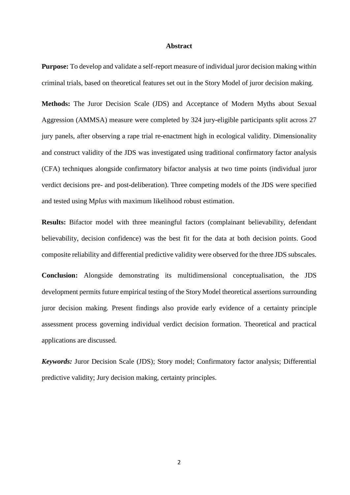### **Abstract**

**Purpose:** To develop and validate a self-report measure of individual juror decision making within criminal trials, based on theoretical features set out in the Story Model of juror decision making.

**Methods:** The Juror Decision Scale (JDS) and Acceptance of Modern Myths about Sexual Aggression (AMMSA) measure were completed by 324 jury-eligible participants split across 27 jury panels, after observing a rape trial re-enactment high in ecological validity. Dimensionality and construct validity of the JDS was investigated using traditional confirmatory factor analysis (CFA) techniques alongside confirmatory bifactor analysis at two time points (individual juror verdict decisions pre- and post-deliberation). Three competing models of the JDS were specified and tested using M*plus* with maximum likelihood robust estimation.

**Results:** Bifactor model with three meaningful factors (complainant believability, defendant believability, decision confidence) was the best fit for the data at both decision points. Good composite reliability and differential predictive validity were observed for the three JDS subscales.

**Conclusion:** Alongside demonstrating its multidimensional conceptualisation, the JDS development permits future empirical testing of the Story Model theoretical assertions surrounding juror decision making. Present findings also provide early evidence of a certainty principle assessment process governing individual verdict decision formation. Theoretical and practical applications are discussed.

*Keywords:* Juror Decision Scale (JDS); Story model; Confirmatory factor analysis; Differential predictive validity; Jury decision making, certainty principles.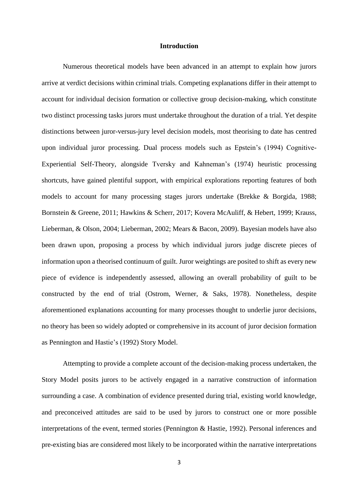### **Introduction**

Numerous theoretical models have been advanced in an attempt to explain how jurors arrive at verdict decisions within criminal trials. Competing explanations differ in their attempt to account for individual decision formation or collective group decision-making, which constitute two distinct processing tasks jurors must undertake throughout the duration of a trial. Yet despite distinctions between juror-versus-jury level decision models, most theorising to date has centred upon individual juror processing. Dual process models such as Epstein's (1994) Cognitive-Experiential Self-Theory, alongside Tversky and Kahneman's (1974) heuristic processing shortcuts, have gained plentiful support, with empirical explorations reporting features of both models to account for many processing stages jurors undertake (Brekke & Borgida, 1988; Bornstein & Greene, 2011; Hawkins & Scherr, 2017; Kovera McAuliff, & Hebert, 1999; Krauss, Lieberman, & Olson, 2004; Lieberman, 2002; Mears & Bacon, 2009). Bayesian models have also been drawn upon, proposing a process by which individual jurors judge discrete pieces of information upon a theorised continuum of guilt. Juror weightings are posited to shift as every new piece of evidence is independently assessed, allowing an overall probability of guilt to be constructed by the end of trial (Ostrom, Werner, & Saks, 1978). Nonetheless, despite aforementioned explanations accounting for many processes thought to underlie juror decisions, no theory has been so widely adopted or comprehensive in its account of juror decision formation as Pennington and Hastie's (1992) Story Model.

Attempting to provide a complete account of the decision-making process undertaken, the Story Model posits jurors to be actively engaged in a narrative construction of information surrounding a case. A combination of evidence presented during trial, existing world knowledge, and preconceived attitudes are said to be used by jurors to construct one or more possible interpretations of the event, termed stories (Pennington & Hastie, 1992). Personal inferences and pre-existing bias are considered most likely to be incorporated within the narrative interpretations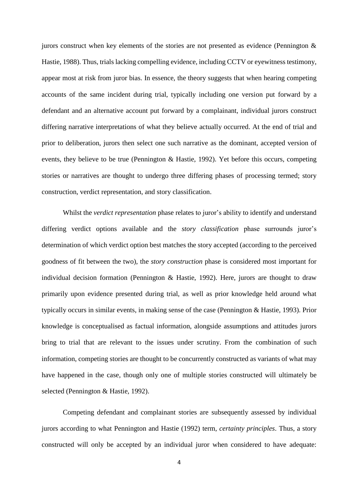jurors construct when key elements of the stories are not presented as evidence (Pennington  $\&$ Hastie, 1988). Thus, trials lacking compelling evidence, including CCTV or eyewitness testimony, appear most at risk from juror bias. In essence, the theory suggests that when hearing competing accounts of the same incident during trial, typically including one version put forward by a defendant and an alternative account put forward by a complainant, individual jurors construct differing narrative interpretations of what they believe actually occurred. At the end of trial and prior to deliberation, jurors then select one such narrative as the dominant, accepted version of events, they believe to be true (Pennington & Hastie, 1992). Yet before this occurs, competing stories or narratives are thought to undergo three differing phases of processing termed; story construction, verdict representation, and story classification.

Whilst the *verdict representation* phase relates to juror's ability to identify and understand differing verdict options available and the *story classification* phase surrounds juror's determination of which verdict option best matches the story accepted (according to the perceived goodness of fit between the two), the *story construction* phase is considered most important for individual decision formation (Pennington & Hastie, 1992). Here, jurors are thought to draw primarily upon evidence presented during trial, as well as prior knowledge held around what typically occurs in similar events, in making sense of the case (Pennington & Hastie, 1993). Prior knowledge is conceptualised as factual information, alongside assumptions and attitudes jurors bring to trial that are relevant to the issues under scrutiny. From the combination of such information, competing stories are thought to be concurrently constructed as variants of what may have happened in the case, though only one of multiple stories constructed will ultimately be selected (Pennington & Hastie, 1992).

Competing defendant and complainant stories are subsequently assessed by individual jurors according to what Pennington and Hastie (1992) term, *certainty principles*. Thus, a story constructed will only be accepted by an individual juror when considered to have adequate: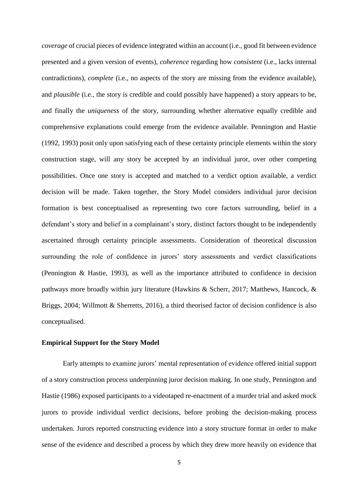*coverage* of crucial pieces of evidence integrated within an account (i.e., good fit between evidence presented and a given version of events), *coherence* regarding how *consistent* (i.e., lacks internal contradictions), *complete* (i.e., no aspects of the story are missing from the evidence available), and *plausible* (i.e., the story is credible and could possibly have happened) a story appears to be, and finally the *uniqueness* of the story, surrounding whether alternative equally credible and comprehensive explanations could emerge from the evidence available. Pennington and Hastie (1992, 1993) posit only upon satisfying each of these certainty principle elements within the story construction stage, will any story be accepted by an individual juror, over other competing possibilities. Once one story is accepted and matched to a verdict option available, a verdict decision will be made. Taken together, the Story Model considers individual juror decision formation is best conceptualised as representing two core factors surrounding, belief in a defendant's story and belief in a complainant's story, distinct factors thought to be independently ascertained through certainty principle assessments. Consideration of theoretical discussion surrounding the role of confidence in jurors' story assessments and verdict classifications (Pennington & Hastie, 1993), as well as the importance attributed to confidence in decision pathways more broadly within jury literature (Hawkins & Scherr, 2017; Matthews, Hancock, & Briggs, 2004; Willmott & Sherretts, 2016), a third theorised factor of decision confidence is also conceptualised.

### **Empirical Support for the Story Model**

Early attempts to examine jurors' mental representation of evidence offered initial support of a story construction process underpinning juror decision making. In one study, Pennington and Hastie (1986) exposed participants to a videotaped re-enactment of a murder trial and asked mock jurors to provide individual verdict decisions, before probing the decision-making process undertaken. Jurors reported constructing evidence into a story structure format in order to make sense of the evidence and described a process by which they drew more heavily on evidence that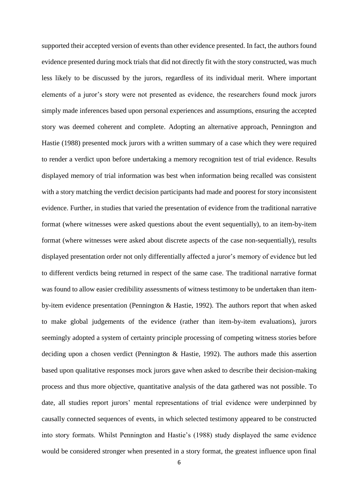supported their accepted version of events than other evidence presented. In fact, the authors found evidence presented during mock trials that did not directly fit with the story constructed, was much less likely to be discussed by the jurors, regardless of its individual merit. Where important elements of a juror's story were not presented as evidence, the researchers found mock jurors simply made inferences based upon personal experiences and assumptions, ensuring the accepted story was deemed coherent and complete. Adopting an alternative approach, Pennington and Hastie (1988) presented mock jurors with a written summary of a case which they were required to render a verdict upon before undertaking a memory recognition test of trial evidence. Results displayed memory of trial information was best when information being recalled was consistent with a story matching the verdict decision participants had made and poorest for story inconsistent evidence. Further, in studies that varied the presentation of evidence from the traditional narrative format (where witnesses were asked questions about the event sequentially), to an item-by-item format (where witnesses were asked about discrete aspects of the case non-sequentially), results displayed presentation order not only differentially affected a juror's memory of evidence but led to different verdicts being returned in respect of the same case. The traditional narrative format was found to allow easier credibility assessments of witness testimony to be undertaken than itemby-item evidence presentation (Pennington & Hastie, 1992). The authors report that when asked to make global judgements of the evidence (rather than item-by-item evaluations), jurors seemingly adopted a system of certainty principle processing of competing witness stories before deciding upon a chosen verdict (Pennington & Hastie, 1992). The authors made this assertion based upon qualitative responses mock jurors gave when asked to describe their decision-making process and thus more objective, quantitative analysis of the data gathered was not possible. To date, all studies report jurors' mental representations of trial evidence were underpinned by causally connected sequences of events, in which selected testimony appeared to be constructed into story formats. Whilst Pennington and Hastie's (1988) study displayed the same evidence would be considered stronger when presented in a story format, the greatest influence upon final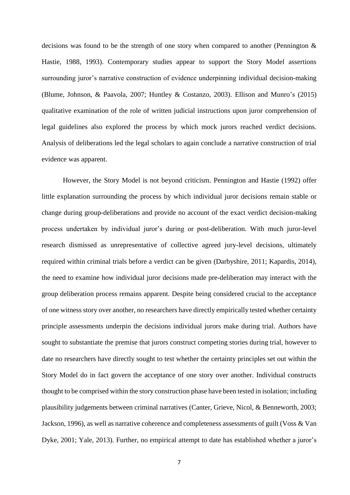decisions was found to be the strength of one story when compared to another (Pennington & Hastie, 1988, 1993). Contemporary studies appear to support the Story Model assertions surrounding juror's narrative construction of evidence underpinning individual decision-making (Blume, Johnson, & Paavola, 2007; Huntley & Costanzo, 2003). Ellison and Munro's (2015) qualitative examination of the role of written judicial instructions upon juror comprehension of legal guidelines also explored the process by which mock jurors reached verdict decisions. Analysis of deliberations led the legal scholars to again conclude a narrative construction of trial evidence was apparent.

However, the Story Model is not beyond criticism. Pennington and Hastie (1992) offer little explanation surrounding the process by which individual juror decisions remain stable or change during group-deliberations and provide no account of the exact verdict decision-making process undertaken by individual juror's during or post-deliberation. With much juror-level research dismissed as unrepresentative of collective agreed jury-level decisions, ultimately required within criminal trials before a verdict can be given (Darbyshire, 2011; Kapardis, 2014), the need to examine how individual juror decisions made pre-deliberation may interact with the group deliberation process remains apparent. Despite being considered crucial to the acceptance of one witness story over another, no researchers have directly empirically tested whether certainty principle assessments underpin the decisions individual jurors make during trial. Authors have sought to substantiate the premise that jurors construct competing stories during trial, however to date no researchers have directly sought to test whether the certainty principles set out within the Story Model do in fact govern the acceptance of one story over another. Individual constructs thought to be comprised within the story construction phase have been tested in isolation; including plausibility judgements between criminal narratives (Canter, Grieve, Nicol, & Benneworth, 2003; Jackson, 1996), as well as narrative coherence and completeness assessments of guilt (Voss & Van Dyke, 2001; Yale, 2013). Further, no empirical attempt to date has established whether a juror's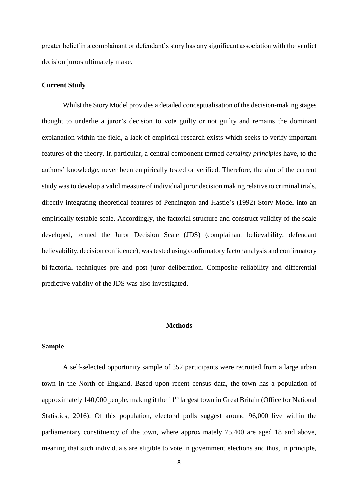greater belief in a complainant or defendant's story has any significant association with the verdict decision jurors ultimately make.

#### **Current Study**

Whilst the Story Model provides a detailed conceptualisation of the decision-making stages thought to underlie a juror's decision to vote guilty or not guilty and remains the dominant explanation within the field, a lack of empirical research exists which seeks to verify important features of the theory. In particular, a central component termed *certainty principles* have, to the authors' knowledge, never been empirically tested or verified. Therefore, the aim of the current study was to develop a valid measure of individual juror decision making relative to criminal trials, directly integrating theoretical features of Pennington and Hastie's (1992) Story Model into an empirically testable scale. Accordingly, the factorial structure and construct validity of the scale developed, termed the Juror Decision Scale (JDS) (complainant believability, defendant believability, decision confidence), wastested using confirmatory factor analysis and confirmatory bi-factorial techniques pre and post juror deliberation. Composite reliability and differential predictive validity of the JDS was also investigated.

### **Methods**

### **Sample**

A self-selected opportunity sample of 352 participants were recruited from a large urban town in the North of England. Based upon recent census data, the town has a population of approximately 140,000 people, making it the  $11<sup>th</sup>$  largest town in Great Britain (Office for National Statistics, 2016). Of this population, electoral polls suggest around 96,000 live within the parliamentary constituency of the town, where approximately 75,400 are aged 18 and above, meaning that such individuals are eligible to vote in government elections and thus, in principle,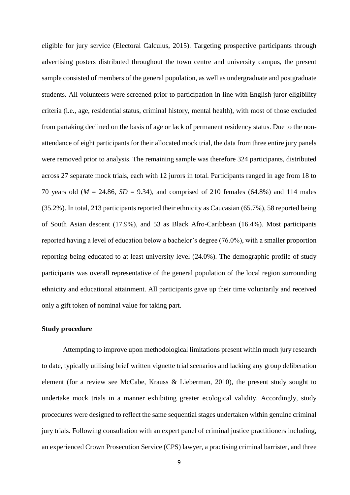eligible for jury service (Electoral Calculus, 2015). Targeting prospective participants through advertising posters distributed throughout the town centre and university campus, the present sample consisted of members of the general population, as well as undergraduate and postgraduate students. All volunteers were screened prior to participation in line with English juror eligibility criteria (i.e., age, residential status, criminal history, mental health), with most of those excluded from partaking declined on the basis of age or lack of permanent residency status. Due to the nonattendance of eight participants for their allocated mock trial, the data from three entire jury panels were removed prior to analysis. The remaining sample was therefore 324 participants, distributed across 27 separate mock trials, each with 12 jurors in total. Participants ranged in age from 18 to 70 years old ( $M = 24.86$ ,  $SD = 9.34$ ), and comprised of 210 females (64.8%) and 114 males (35.2%). In total, 213 participants reported their ethnicity as Caucasian (65.7%), 58 reported being of South Asian descent (17.9%), and 53 as Black Afro-Caribbean (16.4%). Most participants reported having a level of education below a bachelor's degree (76.0%), with a smaller proportion reporting being educated to at least university level (24.0%). The demographic profile of study participants was overall representative of the general population of the local region surrounding ethnicity and educational attainment. All participants gave up their time voluntarily and received only a gift token of nominal value for taking part.

### **Study procedure**

Attempting to improve upon methodological limitations present within much jury research to date, typically utilising brief written vignette trial scenarios and lacking any group deliberation element (for a review see McCabe, Krauss & Lieberman, 2010), the present study sought to undertake mock trials in a manner exhibiting greater ecological validity. Accordingly, study procedures were designed to reflect the same sequential stages undertaken within genuine criminal jury trials. Following consultation with an expert panel of criminal justice practitioners including, an experienced Crown Prosecution Service (CPS) lawyer, a practising criminal barrister, and three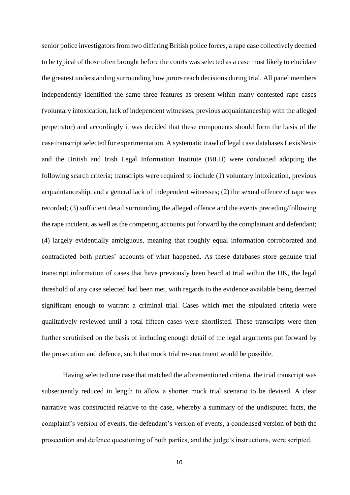senior police investigators from two differing British police forces, a rape case collectively deemed to be typical of those often brought before the courts was selected as a case most likely to elucidate the greatest understanding surrounding how jurors reach decisions during trial. All panel members independently identified the same three features as present within many contested rape cases (voluntary intoxication, lack of independent witnesses, previous acquaintanceship with the alleged perpetrator) and accordingly it was decided that these components should form the basis of the case transcript selected for experimentation. A systematic trawl of legal case databases LexisNexis and the British and Irish Legal Information Institute (BILII) were conducted adopting the following search criteria; transcripts were required to include (1) voluntary intoxication, previous acquaintanceship, and a general lack of independent witnesses; (2) the sexual offence of rape was recorded; (3) sufficient detail surrounding the alleged offence and the events preceding/following the rape incident, as well as the competing accounts put forward by the complainant and defendant; (4) largely evidentially ambiguous, meaning that roughly equal information corroborated and contradicted both parties' accounts of what happened. As these databases store genuine trial transcript information of cases that have previously been heard at trial within the UK, the legal threshold of any case selected had been met, with regards to the evidence available being deemed significant enough to warrant a criminal trial. Cases which met the stipulated criteria were qualitatively reviewed until a total fifteen cases were shortlisted. These transcripts were then further scrutinised on the basis of including enough detail of the legal arguments put forward by the prosecution and defence, such that mock trial re-enactment would be possible.

Having selected one case that matched the aforementioned criteria, the trial transcript was subsequently reduced in length to allow a shorter mock trial scenario to be devised. A clear narrative was constructed relative to the case, whereby a summary of the undisputed facts, the complaint's version of events, the defendant's version of events, a condensed version of both the prosecution and defence questioning of both parties, and the judge's instructions, were scripted.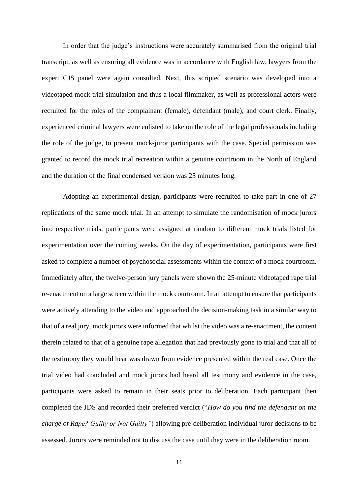In order that the judge's instructions were accurately summarised from the original trial transcript, as well as ensuring all evidence was in accordance with English law, lawyers from the expert CJS panel were again consulted. Next, this scripted scenario was developed into a videotaped mock trial simulation and thus a local filmmaker, as well as professional actors were recruited for the roles of the complainant (female), defendant (male), and court clerk. Finally, experienced criminal lawyers were enlisted to take on the role of the legal professionals including the role of the judge, to present mock-juror participants with the case. Special permission was granted to record the mock trial recreation within a genuine courtroom in the North of England and the duration of the final condensed version was 25 minutes long.

Adopting an experimental design, participants were recruited to take part in one of 27 replications of the same mock trial. In an attempt to simulate the randomisation of mock jurors into respective trials, participants were assigned at random to different mock trials listed for experimentation over the coming weeks. On the day of experimentation, participants were first asked to complete a number of psychosocial assessments within the context of a mock courtroom. Immediately after, the twelve-person jury panels were shown the 25-minute videotaped rape trial re-enactment on a large screen within the mock courtroom. In an attempt to ensure that participants were actively attending to the video and approached the decision-making task in a similar way to that of a real jury, mock jurors were informed that whilst the video was a re-enactment, the content therein related to that of a genuine rape allegation that had previously gone to trial and that all of the testimony they would hear was drawn from evidence presented within the real case. Once the trial video had concluded and mock jurors had heard all testimony and evidence in the case, participants were asked to remain in their seats prior to deliberation. Each participant then completed the JDS and recorded their preferred verdict ("*How do you find the defendant on the charge of Rape? Guilty or Not Guilty"*) allowing pre-deliberation individual juror decisions to be assessed. Jurors were reminded not to discuss the case until they were in the deliberation room.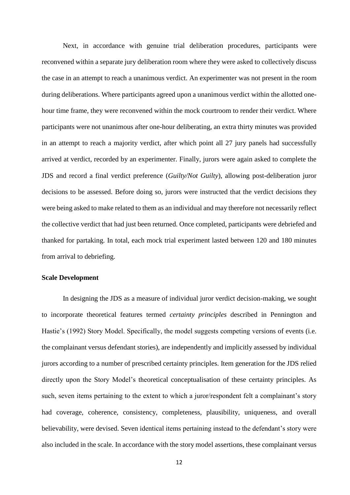Next, in accordance with genuine trial deliberation procedures, participants were reconvened within a separate jury deliberation room where they were asked to collectively discuss the case in an attempt to reach a unanimous verdict. An experimenter was not present in the room during deliberations. Where participants agreed upon a unanimous verdict within the allotted onehour time frame, they were reconvened within the mock courtroom to render their verdict. Where participants were not unanimous after one-hour deliberating, an extra thirty minutes was provided in an attempt to reach a majority verdict, after which point all 27 jury panels had successfully arrived at verdict, recorded by an experimenter. Finally, jurors were again asked to complete the JDS and record a final verdict preference (*Guilty/Not Guilty*), allowing post-deliberation juror decisions to be assessed. Before doing so, jurors were instructed that the verdict decisions they were being asked to make related to them as an individual and may therefore not necessarily reflect the collective verdict that had just been returned. Once completed, participants were debriefed and thanked for partaking. In total, each mock trial experiment lasted between 120 and 180 minutes from arrival to debriefing.

### **Scale Development**

In designing the JDS as a measure of individual juror verdict decision-making, we sought to incorporate theoretical features termed *certainty principles* described in Pennington and Hastie's (1992) Story Model. Specifically, the model suggests competing versions of events (i.e. the complainant versus defendant stories), are independently and implicitly assessed by individual jurors according to a number of prescribed certainty principles. Item generation for the JDS relied directly upon the Story Model's theoretical conceptualisation of these certainty principles. As such, seven items pertaining to the extent to which a juror/respondent felt a complainant's story had coverage, coherence, consistency, completeness, plausibility, uniqueness, and overall believability, were devised. Seven identical items pertaining instead to the defendant's story were also included in the scale. In accordance with the story model assertions, these complainant versus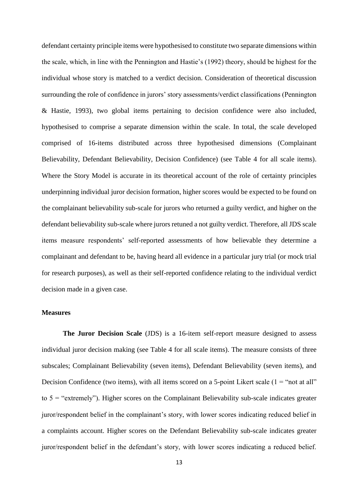defendant certainty principle items were hypothesised to constitute two separate dimensions within the scale, which, in line with the Pennington and Hastie's (1992) theory, should be highest for the individual whose story is matched to a verdict decision. Consideration of theoretical discussion surrounding the role of confidence in jurors' story assessments/verdict classifications (Pennington & Hastie, 1993), two global items pertaining to decision confidence were also included, hypothesised to comprise a separate dimension within the scale. In total, the scale developed comprised of 16-items distributed across three hypothesised dimensions (Complainant Believability, Defendant Believability, Decision Confidence) (see Table 4 for all scale items). Where the Story Model is accurate in its theoretical account of the role of certainty principles underpinning individual juror decision formation, higher scores would be expected to be found on the complainant believability sub-scale for jurors who returned a guilty verdict, and higher on the defendant believability sub-scale where jurors retuned a not guilty verdict. Therefore, all JDS scale items measure respondents' self-reported assessments of how believable they determine a complainant and defendant to be, having heard all evidence in a particular jury trial (or mock trial for research purposes), as well as their self-reported confidence relating to the individual verdict decision made in a given case.

### **Measures**

**The Juror Decision Scale** (JDS) is a 16-item self-report measure designed to assess individual juror decision making (see Table 4 for all scale items). The measure consists of three subscales; Complainant Believability (seven items), Defendant Believability (seven items), and Decision Confidence (two items), with all items scored on a 5-point Likert scale  $(1 = "not at all"')$ to  $5 =$  "extremely"). Higher scores on the Complainant Believability sub-scale indicates greater juror/respondent belief in the complainant's story, with lower scores indicating reduced belief in a complaints account. Higher scores on the Defendant Believability sub-scale indicates greater juror/respondent belief in the defendant's story, with lower scores indicating a reduced belief.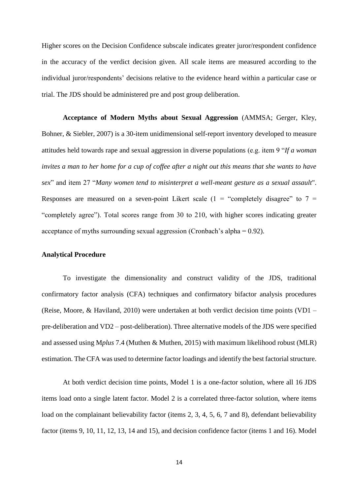Higher scores on the Decision Confidence subscale indicates greater juror/respondent confidence in the accuracy of the verdict decision given. All scale items are measured according to the individual juror/respondents' decisions relative to the evidence heard within a particular case or trial. The JDS should be administered pre and post group deliberation.

**Acceptance of Modern Myths about Sexual Aggression** (AMMSA; Gerger, Kley, Bohner, & Siebler, 2007) is a 30-item unidimensional self-report inventory developed to measure attitudes held towards rape and sexual aggression in diverse populations (e.g. item 9 "*If a woman invites a man to her home for a cup of coffee after a night out this means that she wants to have sex*" and item 27 "*Many women tend to misinterpret a well-meant gesture as a sexual assault*". Responses are measured on a seven-point Likert scale  $(1 -$  "completely disagree" to  $7 =$ "completely agree"). Total scores range from 30 to 210, with higher scores indicating greater acceptance of myths surrounding sexual aggression (Cronbach's alpha = 0.92).

### **Analytical Procedure**

To investigate the dimensionality and construct validity of the JDS, traditional confirmatory factor analysis (CFA) techniques and confirmatory bifactor analysis procedures (Reise, Moore, & Haviland, 2010) were undertaken at both verdict decision time points (VD1 – pre-deliberation and VD2 – post-deliberation). Three alternative models of the JDS were specified and assessed using M*plus* 7.4 (Muthen & Muthen, 2015) with maximum likelihood robust (MLR) estimation. The CFA was used to determine factor loadings and identify the best factorial structure.

At both verdict decision time points, Model 1 is a one-factor solution, where all 16 JDS items load onto a single latent factor. Model 2 is a correlated three-factor solution, where items load on the complainant believability factor (items 2, 3, 4, 5, 6, 7 and 8), defendant believability factor (items 9, 10, 11, 12, 13, 14 and 15), and decision confidence factor (items 1 and 16). Model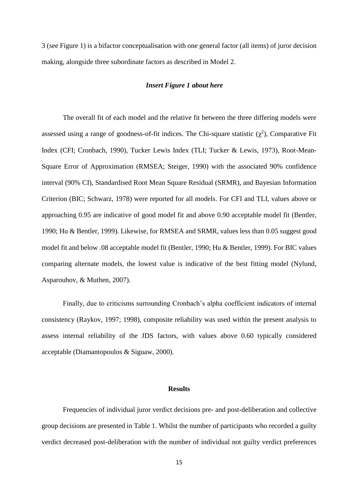3 (see Figure 1) is a bifactor conceptualisation with one general factor (all items) of juror decision making, alongside three subordinate factors as described in Model 2.

### *Insert Figure 1 about here*

The overall fit of each model and the relative fit between the three differing models were assessed using a range of goodness-of-fit indices. The Chi-square statistic  $(\chi^2)$ , Comparative Fit Index (CFI; Cronbach, 1990), Tucker Lewis Index (TLI; Tucker & Lewis, 1973), Root-Mean-Square Error of Approximation (RMSEA; Steiger, 1990) with the associated 90% confidence interval (90% CI), Standardised Root Mean Square Residual (SRMR), and Bayesian Information Criterion (BIC; Schwarz, 1978) were reported for all models. For CFI and TLI, values above or approaching 0.95 are indicative of good model fit and above 0.90 acceptable model fit (Bentler, 1990; Hu & Bentler, 1999). Likewise, for RMSEA and SRMR, values less than 0.05 suggest good model fit and below .08 acceptable model fit (Bentler, 1990; Hu & Bentler, 1999). For BIC values comparing alternate models, the lowest value is indicative of the best fitting model (Nylund, Asparouhov, & Muthen, 2007).

Finally, due to criticisms surrounding Cronbach's alpha coefficient indicators of internal consistency (Raykov, 1997; 1998), composite reliability was used within the present analysis to assess internal reliability of the JDS factors, with values above 0.60 typically considered acceptable (Diamantopoulos & Siguaw, 2000).

### **Results**

Frequencies of individual juror verdict decisions pre- and post-deliberation and collective group decisions are presented in Table 1. Whilst the number of participants who recorded a guilty verdict decreased post-deliberation with the number of individual not guilty verdict preferences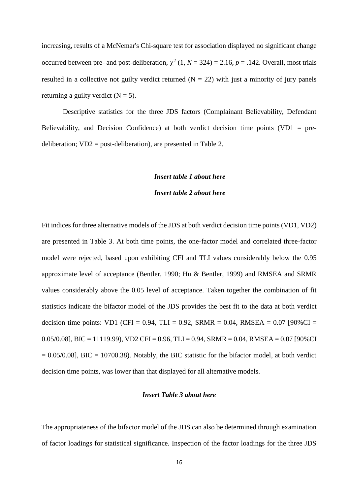increasing, results of a McNemar's Chi-square test for association displayed no significant change occurred between pre- and post-deliberation,  $\chi^2$  (1, *N* = 324) = 2.16, *p* = .142. Overall, most trials resulted in a collective not guilty verdict returned  $(N = 22)$  with just a minority of jury panels returning a guilty verdict  $(N = 5)$ .

Descriptive statistics for the three JDS factors (Complainant Believability, Defendant Believability, and Decision Confidence) at both verdict decision time points  $(VD1 = pre$ deliberation; VD2 = post-deliberation), are presented in Table 2.

# *Insert table 1 about here Insert table 2 about here*

Fit indices for three alternative models of the JDS at both verdict decision time points (VD1, VD2) are presented in Table 3. At both time points, the one-factor model and correlated three-factor model were rejected, based upon exhibiting CFI and TLI values considerably below the 0.95 approximate level of acceptance (Bentler, 1990; Hu & Bentler, 1999) and RMSEA and SRMR values considerably above the 0.05 level of acceptance. Taken together the combination of fit statistics indicate the bifactor model of the JDS provides the best fit to the data at both verdict decision time points: VD1 (CFI = 0.94, TLI = 0.92, SRMR = 0.04, RMSEA = 0.07 [90%CI = 0.05/0.08], BIC = 11119.99), VD2 CFI = 0.96, TLI = 0.94, SRMR = 0.04, RMSEA = 0.07 [90%CI  $= 0.05/0.08$ ], BIC = 10700.38). Notably, the BIC statistic for the bifactor model, at both verdict decision time points, was lower than that displayed for all alternative models.

### *Insert Table 3 about here*

The appropriateness of the bifactor model of the JDS can also be determined through examination of factor loadings for statistical significance. Inspection of the factor loadings for the three JDS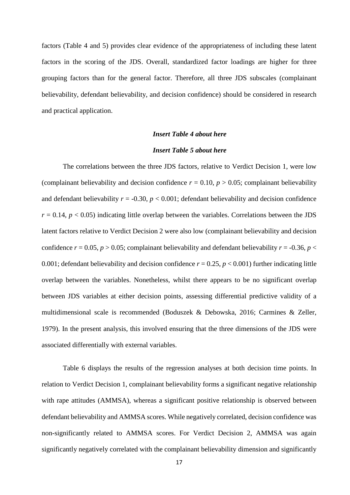factors (Table 4 and 5) provides clear evidence of the appropriateness of including these latent factors in the scoring of the JDS. Overall, standardized factor loadings are higher for three grouping factors than for the general factor. Therefore, all three JDS subscales (complainant believability, defendant believability, and decision confidence) should be considered in research and practical application.

# *Insert Table 4 about here*

### *Insert Table 5 about here*

The correlations between the three JDS factors, relative to Verdict Decision 1, were low (complainant believability and decision confidence  $r = 0.10$ ,  $p > 0.05$ ; complainant believability and defendant believability  $r = -0.30$ ,  $p < 0.001$ ; defendant believability and decision confidence  $r = 0.14$ ,  $p < 0.05$ ) indicating little overlap between the variables. Correlations between the JDS latent factors relative to Verdict Decision 2 were also low (complainant believability and decision confidence  $r = 0.05$ ,  $p > 0.05$ ; complainant believability and defendant believability  $r = -0.36$ ,  $p <$ 0.001; defendant believability and decision confidence  $r = 0.25$ ,  $p < 0.001$ ) further indicating little overlap between the variables. Nonetheless, whilst there appears to be no significant overlap between JDS variables at either decision points, assessing differential predictive validity of a multidimensional scale is recommended (Boduszek & Debowska, 2016; Carmines & Zeller, 1979). In the present analysis, this involved ensuring that the three dimensions of the JDS were associated differentially with external variables.

Table 6 displays the results of the regression analyses at both decision time points. In relation to Verdict Decision 1, complainant believability forms a significant negative relationship with rape attitudes (AMMSA), whereas a significant positive relationship is observed between defendant believability and AMMSA scores. While negatively correlated, decision confidence was non-significantly related to AMMSA scores. For Verdict Decision 2, AMMSA was again significantly negatively correlated with the complainant believability dimension and significantly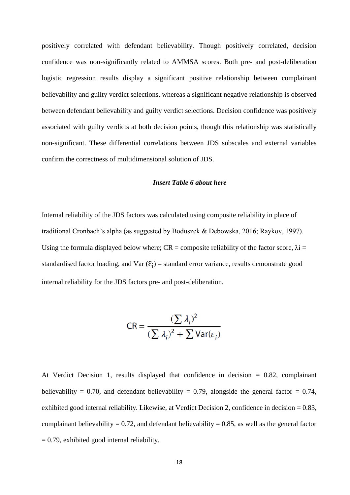positively correlated with defendant believability. Though positively correlated, decision confidence was non-significantly related to AMMSA scores. Both pre- and post-deliberation logistic regression results display a significant positive relationship between complainant believability and guilty verdict selections, whereas a significant negative relationship is observed between defendant believability and guilty verdict selections. Decision confidence was positively associated with guilty verdicts at both decision points, though this relationship was statistically non-significant. These differential correlations between JDS subscales and external variables confirm the correctness of multidimensional solution of JDS.

#### *Insert Table 6 about here*

Internal reliability of the JDS factors was calculated using composite reliability in place of traditional Cronbach's alpha (as suggested by Boduszek & Debowska, 2016; Raykov, 1997). Using the formula displayed below where;  $CR =$  composite reliability of the factor score,  $\lambda i =$ standardised factor loading, and  $Var(\mathcal{E}_i)$  = standard error variance, results demonstrate good internal reliability for the JDS factors pre- and post-deliberation.

$$
CR = \frac{(\sum \lambda_i)^2}{(\sum \lambda_i)^2 + \sum Var(\varepsilon_i)}
$$

At Verdict Decision 1, results displayed that confidence in decision = 0.82, complainant believability = 0.70, and defendant believability = 0.79, alongside the general factor = 0.74, exhibited good internal reliability. Likewise, at Verdict Decision 2, confidence in decision = 0.83, complainant believability =  $0.72$ , and defendant believability =  $0.85$ , as well as the general factor  $= 0.79$ , exhibited good internal reliability.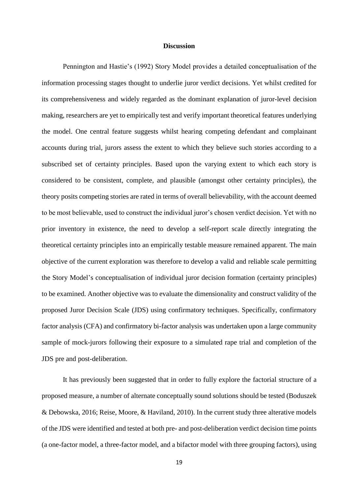### **Discussion**

Pennington and Hastie's (1992) Story Model provides a detailed conceptualisation of the information processing stages thought to underlie juror verdict decisions. Yet whilst credited for its comprehensiveness and widely regarded as the dominant explanation of juror-level decision making, researchers are yet to empirically test and verify important theoretical features underlying the model. One central feature suggests whilst hearing competing defendant and complainant accounts during trial, jurors assess the extent to which they believe such stories according to a subscribed set of certainty principles. Based upon the varying extent to which each story is considered to be consistent, complete, and plausible (amongst other certainty principles), the theory posits competing stories are rated in terms of overall believability, with the account deemed to be most believable, used to construct the individual juror's chosen verdict decision. Yet with no prior inventory in existence, the need to develop a self-report scale directly integrating the theoretical certainty principles into an empirically testable measure remained apparent. The main objective of the current exploration was therefore to develop a valid and reliable scale permitting the Story Model's conceptualisation of individual juror decision formation (certainty principles) to be examined. Another objective was to evaluate the dimensionality and construct validity of the proposed Juror Decision Scale (JDS) using confirmatory techniques. Specifically, confirmatory factor analysis (CFA) and confirmatory bi-factor analysis was undertaken upon a large community sample of mock-jurors following their exposure to a simulated rape trial and completion of the JDS pre and post-deliberation.

It has previously been suggested that in order to fully explore the factorial structure of a proposed measure, a number of alternate conceptually sound solutions should be tested (Boduszek & Debowska, 2016; Reise, Moore, & Haviland, 2010). In the current study three alterative models of the JDS were identified and tested at both pre- and post-deliberation verdict decision time points (a one-factor model, a three-factor model, and a bifactor model with three grouping factors), using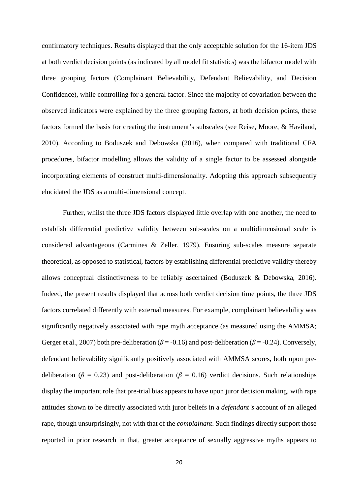confirmatory techniques. Results displayed that the only acceptable solution for the 16-item JDS at both verdict decision points (as indicated by all model fit statistics) was the bifactor model with three grouping factors (Complainant Believability, Defendant Believability, and Decision Confidence), while controlling for a general factor. Since the majority of covariation between the observed indicators were explained by the three grouping factors, at both decision points, these factors formed the basis for creating the instrument's subscales (see Reise, Moore, & Haviland, 2010). According to Boduszek and Debowska (2016), when compared with traditional CFA procedures, bifactor modelling allows the validity of a single factor to be assessed alongside incorporating elements of construct multi-dimensionality. Adopting this approach subsequently elucidated the JDS as a multi-dimensional concept.

Further, whilst the three JDS factors displayed little overlap with one another, the need to establish differential predictive validity between sub-scales on a multidimensional scale is considered advantageous (Carmines & Zeller, 1979). Ensuring sub-scales measure separate theoretical, as opposed to statistical, factors by establishing differential predictive validity thereby allows conceptual distinctiveness to be reliably ascertained (Boduszek & Debowska, 2016). Indeed, the present results displayed that across both verdict decision time points, the three JDS factors correlated differently with external measures. For example, complainant believability was significantly negatively associated with rape myth acceptance (as measured using the AMMSA; Gerger et al., 2007) both pre-deliberation ( $\beta$  = -0.16) and post-deliberation ( $\beta$  = -0.24). Conversely, defendant believability significantly positively associated with AMMSA scores, both upon predeliberation ( $\beta$  = 0.23) and post-deliberation ( $\beta$  = 0.16) verdict decisions. Such relationships display the important role that pre-trial bias appears to have upon juror decision making, with rape attitudes shown to be directly associated with juror beliefs in a *defendant's* account of an alleged rape, though unsurprisingly, not with that of the *complainant*. Such findings directly support those reported in prior research in that, greater acceptance of sexually aggressive myths appears to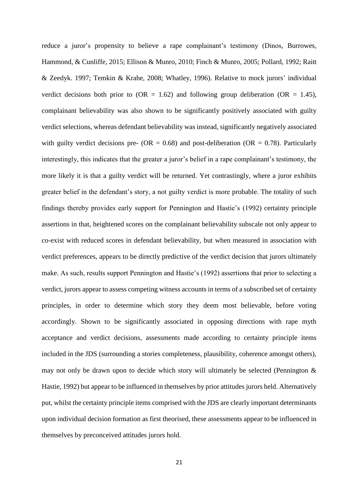reduce a juror's propensity to believe a rape complainant's testimony (Dinos, Burrowes, Hammond, & Cunliffe, 2015; Ellison & Munro, 2010; Finch & Munro, 2005; Pollard, 1992; Raitt & Zeedyk. 1997; Temkin & Krahe, 2008; Whatley, 1996). Relative to mock jurors' individual verdict decisions both prior to  $(OR = 1.62)$  and following group deliberation  $(OR = 1.45)$ , complainant believability was also shown to be significantly positively associated with guilty verdict selections, whereas defendant believability was instead, significantly negatively associated with guilty verdict decisions pre- ( $OR = 0.68$ ) and post-deliberation ( $OR = 0.78$ ). Particularly interestingly, this indicates that the greater a juror's belief in a rape complainant's testimony, the more likely it is that a guilty verdict will be returned. Yet contrastingly, where a juror exhibits greater belief in the defendant's story, a not guilty verdict is more probable. The totality of such findings thereby provides early support for Pennington and Hastie's (1992) certainty principle assertions in that, heightened scores on the complainant believability subscale not only appear to co-exist with reduced scores in defendant believability, but when measured in association with verdict preferences, appears to be directly predictive of the verdict decision that jurors ultimately make. As such, results support Pennington and Hastie's (1992) assertions that prior to selecting a verdict, jurors appear to assess competing witness accounts in terms of a subscribed set of certainty principles, in order to determine which story they deem most believable, before voting accordingly. Shown to be significantly associated in opposing directions with rape myth acceptance and verdict decisions, assessments made according to certainty principle items included in the JDS (surrounding a stories completeness, plausibility, coherence amongst others), may not only be drawn upon to decide which story will ultimately be selected (Pennington & Hastie, 1992) but appear to be influenced in themselves by prior attitudes jurors held. Alternatively put, whilst the certainty principle items comprised with the JDS are clearly important determinants upon individual decision formation as first theorised, these assessments appear to be influenced in themselves by preconceived attitudes jurors hold.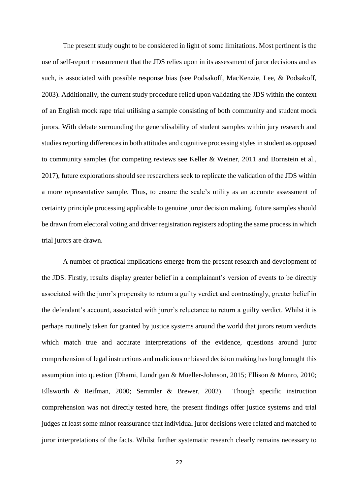The present study ought to be considered in light of some limitations. Most pertinent is the use of self-report measurement that the JDS relies upon in its assessment of juror decisions and as such, is associated with possible response bias (see Podsakoff, MacKenzie, Lee, & Podsakoff, 2003). Additionally, the current study procedure relied upon validating the JDS within the context of an English mock rape trial utilising a sample consisting of both community and student mock jurors. With debate surrounding the generalisability of student samples within jury research and studies reporting differences in both attitudes and cognitive processing styles in student as opposed to community samples (for competing reviews see Keller & Weiner, 2011 and Bornstein et al., 2017), future explorations should see researchers seek to replicate the validation of the JDS within a more representative sample. Thus, to ensure the scale's utility as an accurate assessment of certainty principle processing applicable to genuine juror decision making, future samples should be drawn from electoral voting and driver registration registers adopting the same process in which trial jurors are drawn.

A number of practical implications emerge from the present research and development of the JDS. Firstly, results display greater belief in a complainant's version of events to be directly associated with the juror's propensity to return a guilty verdict and contrastingly, greater belief in the defendant's account, associated with juror's reluctance to return a guilty verdict. Whilst it is perhaps routinely taken for granted by justice systems around the world that jurors return verdicts which match true and accurate interpretations of the evidence, questions around juror comprehension of legal instructions and malicious or biased decision making has long brought this assumption into question (Dhami, Lundrigan & Mueller-Johnson, 2015; Ellison & Munro, 2010; Ellsworth & Reifman, 2000; Semmler & Brewer, 2002). Though specific instruction comprehension was not directly tested here, the present findings offer justice systems and trial judges at least some minor reassurance that individual juror decisions were related and matched to juror interpretations of the facts. Whilst further systematic research clearly remains necessary to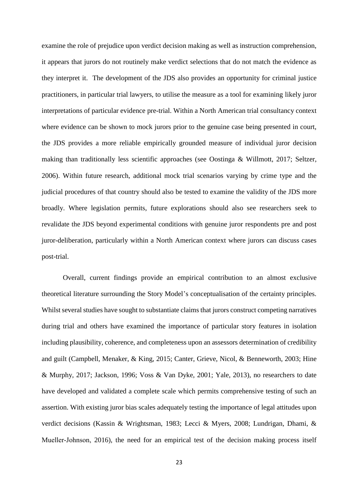examine the role of prejudice upon verdict decision making as well as instruction comprehension, it appears that jurors do not routinely make verdict selections that do not match the evidence as they interpret it. The development of the JDS also provides an opportunity for criminal justice practitioners, in particular trial lawyers, to utilise the measure as a tool for examining likely juror interpretations of particular evidence pre-trial. Within a North American trial consultancy context where evidence can be shown to mock jurors prior to the genuine case being presented in court, the JDS provides a more reliable empirically grounded measure of individual juror decision making than traditionally less scientific approaches (see Oostinga & Willmott, 2017; Seltzer, 2006). Within future research, additional mock trial scenarios varying by crime type and the judicial procedures of that country should also be tested to examine the validity of the JDS more broadly. Where legislation permits, future explorations should also see researchers seek to revalidate the JDS beyond experimental conditions with genuine juror respondents pre and post juror-deliberation, particularly within a North American context where jurors can discuss cases post-trial.

Overall, current findings provide an empirical contribution to an almost exclusive theoretical literature surrounding the Story Model's conceptualisation of the certainty principles. Whilst several studies have sought to substantiate claims that jurors construct competing narratives during trial and others have examined the importance of particular story features in isolation including plausibility, coherence, and completeness upon an assessors determination of credibility and guilt (Campbell, Menaker, & King, 2015; Canter, Grieve, Nicol, & Benneworth, 2003; Hine & Murphy, 2017; Jackson, 1996; Voss & Van Dyke, 2001; Yale, 2013), no researchers to date have developed and validated a complete scale which permits comprehensive testing of such an assertion. With existing juror bias scales adequately testing the importance of legal attitudes upon verdict decisions (Kassin & Wrightsman, 1983; Lecci & Myers, 2008; Lundrigan, Dhami, & Mueller-Johnson, 2016), the need for an empirical test of the decision making process itself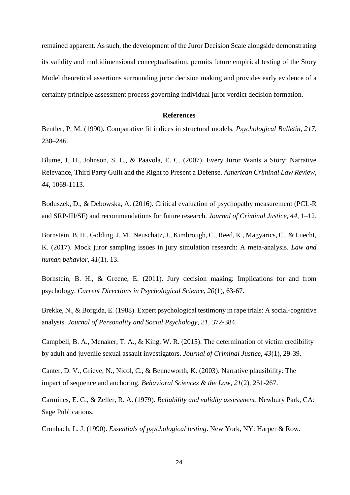remained apparent. As such, the development of the Juror Decision Scale alongside demonstrating its validity and multidimensional conceptualisation, permits future empirical testing of the Story Model theoretical assertions surrounding juror decision making and provides early evidence of a certainty principle assessment process governing individual juror verdict decision formation.

### **References**

Bentler, P. M. (1990). Comparative fit indices in structural models. *Psychological Bulletin, 217*, 238–246.

Blume, J. H., Johnson, S. L., & Paavola, E. C. (2007). Every Juror Wants a Story: Narrative Relevance, Third Party Guilt and the Right to Present a Defense. A*merican Criminal Law Review, 44*, 1069-1113.

Boduszek, D., & Debowska, A. (2016). Critical evaluation of psychopathy measurement (PCL-R and SRP-III/SF) and recommendations for future research. *Journal of Criminal Justice, 44*, 1–12.

Bornstein, B. H., Golding, J. M., Neuschatz, J., Kimbrough, C., Reed, K., Magyarics, C., & Luecht, K. (2017). Mock juror sampling issues in jury simulation research: A meta-analysis. *Law and human behavior, 41*(1), 13.

Bornstein, B. H., & Greene, E. (2011). Jury decision making: Implications for and from psychology. *Current Directions in Psychological Science*, *20*(1), 63-67.

Brekke, N., & Borgida, E. (1988). Expert psychological testimony in rape trials: A social-cognitive analysis. *Journal of Personality and Social Psychology, 21,* 372-384.

Campbell, B. A., Menaker, T. A., & King, W. R. (2015). The determination of victim credibility by adult and juvenile sexual assault investigators. *Journal of Criminal Justice*, *43*(1), 29-39.

Canter, D. V., Grieve, N., Nicol, C., & Benneworth, K. (2003). Narrative plausibility: The impact of sequence and anchoring. *Behavioral Sciences & the Law*, *21*(2), 251-267.

Carmines, E. G., & Zeller, R. A. (1979). *Reliability and validity assessment*. Newbury Park, CA: Sage Publications.

Cronbach, L. J. (1990). *Essentials of psychological testing*. New York, NY: Harper & Row.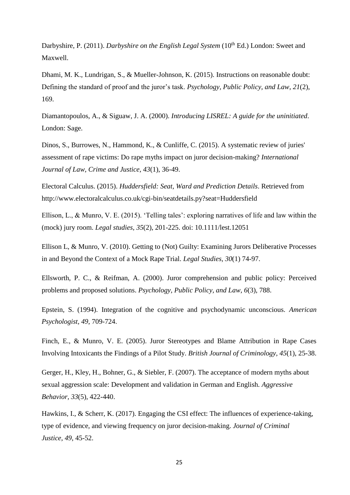Darbyshire, P. (2011). *Darbyshire on the English Legal System* (10<sup>th</sup> Ed.) London: Sweet and Maxwell.

Dhami, M. K., Lundrigan, S., & Mueller-Johnson, K. (2015). Instructions on reasonable doubt: Defining the standard of proof and the juror's task. *Psychology, Public Policy, and Law*, *21*(2), 169.

Diamantopoulos, A., & Siguaw, J. A. (2000). *Introducing LISREL: A guide for the uninitiated*. London: Sage.

Dinos, S., Burrowes, N., Hammond, K., & Cunliffe, C. (2015). A systematic review of juries' assessment of rape victims: Do rape myths impact on juror decision-making? *International Journal of Law, Crime and Justice, 43*(1), 36-49.

Electoral Calculus. (2015). *Huddersfield: Seat, Ward and Prediction Details*. Retrieved from http://www.electoralcalculus.co.uk/cgi-bin/seatdetails.py?seat=Huddersfield

Ellison, L., & Munro, V. E. (2015). 'Telling tales': exploring narratives of life and law within the (mock) jury room. *Legal studies, 35*(2), 201-225. doi: 10.1111/lest.12051

Ellison L, & Munro, V. (2010). Getting to (Not) Guilty: Examining Jurors Deliberative Processes in and Beyond the Context of a Mock Rape Trial. *Legal Studies, 30*(1) 74-97.

Ellsworth, P. C., & Reifman, A. (2000). Juror comprehension and public policy: Perceived problems and proposed solutions. *Psychology, Public Policy, and Law*, *6*(3), 788.

Epstein, S. (1994). Integration of the cognitive and psychodynamic unconscious. *American Psychologist, 49*, 709-724.

Finch, E., & Munro, V. E. (2005). Juror Stereotypes and Blame Attribution in Rape Cases Involving Intoxicants the Findings of a Pilot Study. *British Journal of Criminology, 45*(1), 25-38.

Gerger, H., Kley, H., Bohner, G., & Siebler, F. (2007). The acceptance of modern myths about sexual aggression scale: Development and validation in German and English*. Aggressive Behavior, 33*(5), 422-440.

Hawkins, I., & Scherr, K. (2017). Engaging the CSI effect: The influences of experience-taking, type of evidence, and viewing frequency on juror decision-making. *Journal of Criminal Justice*, *49*, 45-52.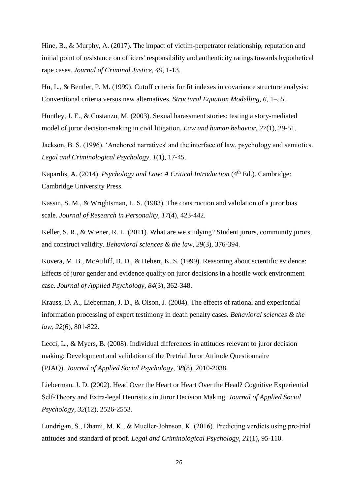Hine, B., & Murphy, A. (2017). The impact of victim-perpetrator relationship, reputation and initial point of resistance on officers' responsibility and authenticity ratings towards hypothetical rape cases. *Journal of Criminal Justice*, *49*, 1-13.

Hu, L., & Bentler, P. M. (1999). Cutoff criteria for fit indexes in covariance structure analysis: Conventional criteria versus new alternatives. *Structural Equation Modelling, 6*, 1–55.

Huntley, J. E., & Costanzo, M. (2003). Sexual harassment stories: testing a story-mediated model of juror decision-making in civil litigation. *Law and human behavior, 27*(1), 29-51.

Jackson, B. S. (1996). 'Anchored narratives' and the interface of law, psychology and semiotics. *Legal and Criminological Psychology, 1*(1), 17-45.

Kapardis, A. (2014). *Psychology and Law: A Critical Introduction* (4<sup>th</sup> Ed.). Cambridge: Cambridge University Press.

Kassin, S. M., & Wrightsman, L. S. (1983). The construction and validation of a juror bias scale. *Journal of Research in Personality*, *17*(4), 423-442.

Keller, S. R., & Wiener, R. L. (2011). What are we studying? Student jurors, community jurors, and construct validity. *Behavioral sciences & the law*, *29*(3), 376-394.

Kovera, M. B., McAuliff, B. D., & Hebert, K. S. (1999). Reasoning about scientific evidence: Effects of juror gender and evidence quality on juror decisions in a hostile work environment case. *Journal of Applied Psychology, 84*(3), 362-348.

Krauss, D. A., Lieberman, J. D., & Olson, J. (2004). The effects of rational and experiential information processing of expert testimony in death penalty cases. *Behavioral sciences & the law*, *22*(6), 801-822.

Lecci, L., & Myers, B. (2008). Individual differences in attitudes relevant to juror decision making: Development and validation of the Pretrial Juror Attitude Questionnaire (PJAQ). *Journal of Applied Social Psychology*, *38*(8), 2010-2038.

Lieberman, J. D. (2002). Head Over the Heart or Heart Over the Head? Cognitive Experiential Self‐Theory and Extra-legal Heuristics in Juror Decision Making. *Journal of Applied Social Psychology, 32*(12), 2526-2553.

Lundrigan, S., Dhami, M. K., & Mueller‐Johnson, K. (2016). Predicting verdicts using pre‐trial attitudes and standard of proof. *Legal and Criminological Psychology*, *21*(1), 95-110.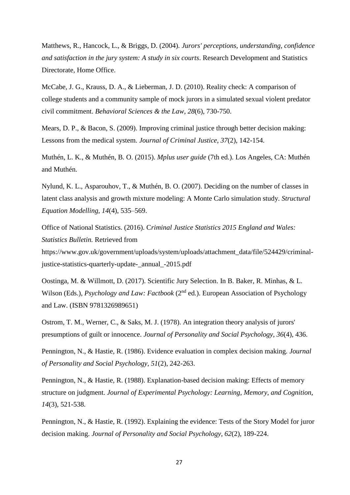Matthews, R., Hancock, L., & Briggs, D. (2004). *Jurors' perceptions, understanding, confidence and satisfaction in the jury system: A study in six courts*. Research Development and Statistics Directorate, Home Office.

McCabe, J. G., Krauss, D. A., & Lieberman, J. D. (2010). Reality check: A comparison of college students and a community sample of mock jurors in a simulated sexual violent predator civil commitment. *Behavioral Sciences & the Law*, *28*(6), 730-750.

Mears, D. P., & Bacon, S. (2009). Improving criminal justice through better decision making: Lessons from the medical system. *Journal of Criminal Justice*, *37*(2), 142-154.

Muthén, L. K., & Muthén, B. O. (2015). *Mplus user guide* (7th ed.). Los Angeles, CA: Muthén and Muthén.

Nylund, K. L., Asparouhov, T., & Muthén, B. O. (2007). Deciding on the number of classes in latent class analysis and growth mixture modeling: A Monte Carlo simulation study. *Structural Equation Modelling, 14*(4), 535–569.

Office of National Statistics. (2016). C*riminal Justice Statistics 2015 England and Wales: Statistics Bulletin.* Retrieved from https://www.gov.uk/government/uploads/system/uploads/attachment\_data/file/524429/criminal-

justice-statistics-quarterly-update-\_annual\_-2015.pdf

Oostinga, M. & Willmott, D. (2017). Scientific Jury Selection. In B. Baker, R. Minhas, & L. Wilson (Eds.), *Psychology and Law: Factbook* (2<sup>nd</sup> ed.). European Association of Psychology and Law. (ISBN 9781326989651)

Ostrom, T. M., Werner, C., & Saks, M. J. (1978). An integration theory analysis of jurors' presumptions of guilt or innocence. *Journal of Personality and Social Psychology, 36*(4), 436.

Pennington, N., & Hastie, R. (1986). Evidence evaluation in complex decision making. *Journal of Personality and Social Psychology, 51*(2), 242-263.

Pennington, N., & Hastie, R. (1988). Explanation-based decision making: Effects of memory structure on judgment. *Journal of Experimental Psychology: Learning, Memory, and Cognition, 14*(3), 521-538.

Pennington, N., & Hastie, R. (1992). Explaining the evidence: Tests of the Story Model for juror decision making. *Journal of Personality and Social Psychology, 62*(2), 189-224.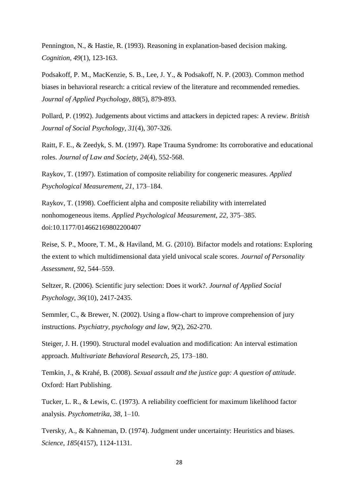Pennington, N., & Hastie, R. (1993). Reasoning in explanation-based decision making. *Cognition, 49*(1), 123-163.

Podsakoff, P. M., MacKenzie, S. B., Lee, J. Y., & Podsakoff, N. P. (2003). Common method biases in behavioral research: a critical review of the literature and recommended remedies. *Journal of Applied Psychology, 88*(5), 879-893.

Pollard, P. (1992). Judgements about victims and attackers in depicted rapes: A review. *British Journal of Social Psychology, 31*(4), 307-326.

Raitt, F. E., & Zeedyk, S. M. (1997). Rape Trauma Syndrome: Its corroborative and educational roles. *Journal of Law and Society, 24*(4), 552-568.

Raykov, T. (1997). Estimation of composite reliability for congeneric measures. *Applied Psychological Measurement, 21*, 173–184.

Raykov, T. (1998). Coefficient alpha and composite reliability with interrelated nonhomogeneous items. *Applied Psychological Measurement, 22*, 375–385. doi:10.1177/014662169802200407

Reise, S. P., Moore, T. M., & Haviland, M. G. (2010). Bifactor models and rotations: Exploring the extent to which multidimensional data yield univocal scale scores. *Journal of Personality Assessment, 92*, 544–559.

Seltzer, R. (2006). Scientific jury selection: Does it work?. *Journal of Applied Social Psychology*, *36*(10), 2417-2435.

Semmler, C., & Brewer, N. (2002). Using a flow-chart to improve comprehension of jury instructions. *Psychiatry, psychology and law*, *9*(2), 262-270.

Steiger, J. H. (1990). Structural model evaluation and modification: An interval estimation approach. *Multivariate Behavioral Research, 25,* 173–180.

Temkin, J., & Krahé, B. (2008). *Sexual assault and the justice gap: A question of attitude*. Oxford: Hart Publishing.

Tucker, L. R., & Lewis, C. (1973). A reliability coefficient for maximum likelihood factor analysis. *Psychometrika, 38*, 1–10.

Tversky, A., & Kahneman, D. (1974). Judgment under uncertainty: Heuristics and biases. *Science, 185*(4157), 1124-1131.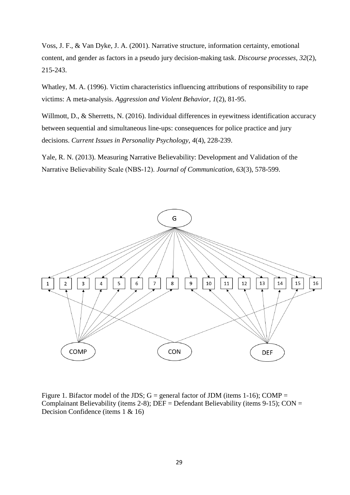Voss, J. F., & Van Dyke, J. A. (2001). Narrative structure, information certainty, emotional content, and gender as factors in a pseudo jury decision-making task. *Discourse processes, 32*(2), 215-243.

Whatley, M. A. (1996). Victim characteristics influencing attributions of responsibility to rape victims: A meta-analysis. *Aggression and Violent Behavior, 1*(2), 81-95.

Willmott, D., & Sherretts, N. (2016). Individual differences in eyewitness identification accuracy between sequential and simultaneous line-ups: consequences for police practice and jury decisions. *Current Issues in Personality Psychology*, *4*(4), 228-239.

Yale, R. N. (2013). Measuring Narrative Believability: Development and Validation of the Narrative Believability Scale (NBS‐12). *Journal of Communication, 63*(3), 578-599.



Figure 1. Bifactor model of the JDS;  $G =$  general factor of JDM (items 1-16); COMP = Complainant Believability (items 2-8); DEF = Defendant Believability (items 9-15); CON = Decision Confidence (items 1 & 16)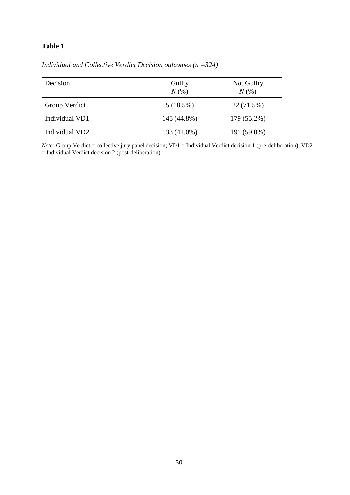| Decision       | Guilty<br>N(% | Not Guilty<br>$N($ %) |
|----------------|---------------|-----------------------|
| Group Verdict  | $5(18.5\%)$   | 22 (71.5%)            |
| Individual VD1 | 145 (44.8%)   | 179 (55.2%)           |
| Individual VD2 | 133 (41.0%)   | 191 (59.0%)           |

*Individual and Collective Verdict Decision outcomes (n =324)* 

*Note:* Group Verdict = collective jury panel decision; VD1 = Individual Verdict decision 1 (pre-deliberation); VD2 = Individual Verdict decision 2 (post-deliberation).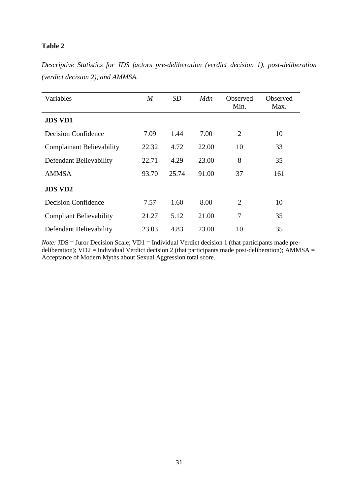*Descriptive Statistics for JDS factors pre-deliberation (verdict decision 1), post-deliberation (verdict decision 2), and AMMSA.*

| Variables                        | $\boldsymbol{M}$ | SD    | Mdn   | Observed<br>Min. | Observed<br>Max. |
|----------------------------------|------------------|-------|-------|------------------|------------------|
| <b>JDS VD1</b>                   |                  |       |       |                  |                  |
| Decision Confidence              | 7.09             | 1.44  | 7.00  | $\overline{2}$   | 10               |
| <b>Complainant Believability</b> | 22.32            | 4.72  | 22.00 | 10               | 33               |
| Defendant Believability          | 22.71            | 4.29  | 23.00 | 8                | 35               |
| <b>AMMSA</b>                     | 93.70            | 25.74 | 91.00 | 37               | 161              |
| <b>JDS VD2</b>                   |                  |       |       |                  |                  |
| <b>Decision Confidence</b>       | 7.57             | 1.60  | 8.00  | $\overline{2}$   | 10               |
| <b>Compliant Believability</b>   | 21.27            | 5.12  | 21.00 | 7                | 35               |
| Defendant Believability          | 23.03            | 4.83  | 23.00 | 10               | 35               |

*Note:* JDS = Juror Decision Scale; VD1 = Individual Verdict decision 1 (that participants made predeliberation);  $VD2 =$  Individual Verdict decision 2 (that participants made post-deliberation);  $AMMSA =$ Acceptance of Modern Myths about Sexual Aggression total score.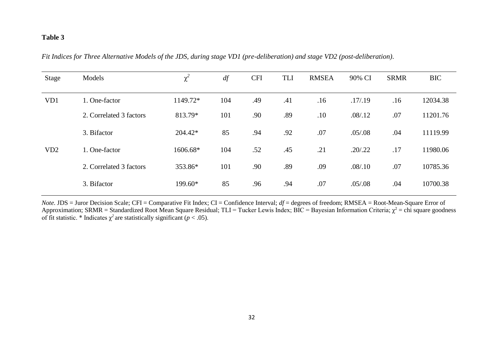| <b>Stage</b>     | Models                  | $\chi^2$  | $df$ | <b>CFI</b> | TLI | <b>RMSEA</b> | 90% CI   | <b>SRMR</b> | <b>BIC</b> |
|------------------|-------------------------|-----------|------|------------|-----|--------------|----------|-------------|------------|
| V <sub>D</sub> 1 | 1. One-factor           | 1149.72*  | 104  | .49        | .41 | .16          | .17/0.19 | .16         | 12034.38   |
|                  | 2. Correlated 3 factors | 813.79*   | 101  | .90        | .89 | .10          | .08/.12  | .07         | 11201.76   |
|                  | 3. Bifactor             | $204.42*$ | 85   | .94        | .92 | .07          | .05/.08  | .04         | 11119.99   |
| VD <sub>2</sub>  | 1. One-factor           | 1606.68*  | 104  | .52        | .45 | .21          | .20/.22  | .17         | 11980.06   |
|                  | 2. Correlated 3 factors | 353.86*   | 101  | .90        | .89 | .09          | .08/.10  | .07         | 10785.36   |
|                  | 3. Bifactor             | 199.60*   | 85   | .96        | .94 | .07          | .05/.08  | .04         | 10700.38   |

*Fit Indices for Three Alternative Models of the JDS, during stage VD1 (pre-deliberation) and stage VD2 (post-deliberation)*.

*Note.* JDS = Juror Decision Scale; CFI = Comparative Fit Index; CI = Confidence Interval; *df* = degrees of freedom; RMSEA = Root-Mean-Square Error of Approximation; SRMR = Standardized Root Mean Square Residual; TLI = Tucker Lewis Index; BIC = Bayesian Information Criteria;  $\chi^2$  = chi square goodness of fit statistic. \* Indicates  $\chi^2$  are statistically significant (*p* < .05).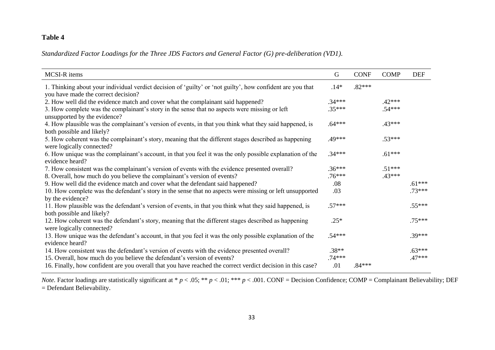*Standardized Factor Loadings for the Three JDS Factors and General Factor (G) pre-deliberation (VD1)*.

| MCSI-R items                                                                                                                                      | G        | <b>CONF</b> | <b>COMP</b> | <b>DEF</b> |
|---------------------------------------------------------------------------------------------------------------------------------------------------|----------|-------------|-------------|------------|
| 1. Thinking about your individual verdict decision of 'guilty' or 'not guilty', how confident are you that<br>you have made the correct decision? | $.14*$   | $.82***$    |             |            |
| 2. How well did the evidence match and cover what the complainant said happened?                                                                  | $.34***$ |             | $.42***$    |            |
| 3. How complete was the complainant's story in the sense that no aspects were missing or left<br>unsupported by the evidence?                     | $.35***$ |             | $.54***$    |            |
| 4. How plausible was the complainant's version of events, in that you think what they said happened, is<br>both possible and likely?              | $.64***$ |             | $.43***$    |            |
| 5. How coherent was the complainant's story, meaning that the different stages described as happening<br>were logically connected?                | .49***   |             | $.53***$    |            |
| 6. How unique was the complainant's account, in that you feel it was the only possible explanation of the<br>evidence heard?                      | $.34***$ |             | $.61***$    |            |
| 7. How consistent was the complainant's version of events with the evidence presented overall?                                                    | $.36***$ |             | $.51***$    |            |
| 8. Overall, how much do you believe the complainant's version of events?                                                                          | $.76***$ |             | $.43***$    |            |
| 9. How well did the evidence match and cover what the defendant said happened?                                                                    | .08      |             |             | $.61***$   |
| 10. How complete was the defendant's story in the sense that no aspects were missing or left unsupported<br>by the evidence?                      | .03      |             |             | $.73***$   |
| 11. How plausible was the defendant's version of events, in that you think what they said happened, is<br>both possible and likely?               | $.57***$ |             |             | $.55***$   |
| 12. How coherent was the defendant's story, meaning that the different stages described as happening<br>were logically connected?                 | $.25*$   |             |             | $.75***$   |
| 13. How unique was the defendant's account, in that you feel it was the only possible explanation of the<br>evidence heard?                       | $.54***$ |             |             | $.39***$   |
| 14. How consistent was the defendant's version of events with the evidence presented overall?                                                     | $.38**$  |             |             | $.63***$   |
| 15. Overall, how much do you believe the defendant's version of events?                                                                           | $.74***$ |             |             | $.47***$   |
| 16. Finally, how confident are you overall that you have reached the correct verdict decision in this case?                                       | .01      | $.84***$    |             |            |

*Note.* Factor loadings are statistically significant at \*  $p < .05$ ; \*\*  $p < .01$ ; \*\*\*  $p < .001$ . CONF = Decision Confidence; COMP = Complainant Believability; DEF = Defendant Believability.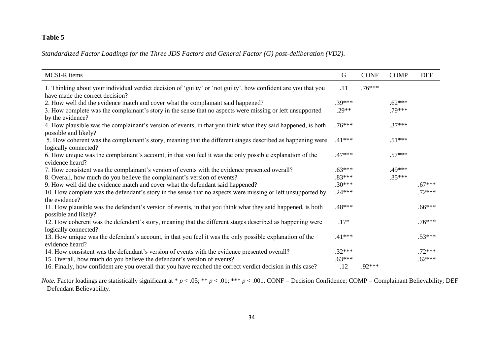*Standardized Factor Loadings for the Three JDS Factors and General Factor (G) post-deliberation (VD2)*.

| MCSI-R items                                                                                                                                      | G        | <b>CONF</b> | <b>COMP</b> | <b>DEF</b> |
|---------------------------------------------------------------------------------------------------------------------------------------------------|----------|-------------|-------------|------------|
| 1. Thinking about your individual verdict decision of 'guilty' or 'not guilty', how confident are you that you<br>have made the correct decision? | .11      | $.76***$    |             |            |
| 2. How well did the evidence match and cover what the complainant said happened?                                                                  | $.39***$ |             | $.62***$    |            |
| 3. How complete was the complainant's story in the sense that no aspects were missing or left unsupported<br>by the evidence?                     | $.29**$  |             | $.79***$    |            |
| 4. How plausible was the complainant's version of events, in that you think what they said happened, is both<br>possible and likely?              | $.76***$ |             | $.37***$    |            |
| 5. How coherent was the complainant's story, meaning that the different stages described as happening were<br>logically connected?                | $.41***$ |             | $.51***$    |            |
| 6. How unique was the complainant's account, in that you feel it was the only possible explanation of the<br>evidence heard?                      | $.47***$ |             | $.57***$    |            |
| 7. How consistent was the complainant's version of events with the evidence presented overall?                                                    | $.63***$ |             | .49***      |            |
| 8. Overall, how much do you believe the complainant's version of events?                                                                          | $.83***$ |             | $.35***$    |            |
| 9. How well did the evidence match and cover what the defendant said happened?                                                                    | $.30***$ |             |             | $.67***$   |
| 10. How complete was the defendant's story in the sense that no aspects were missing or left unsupported by<br>the evidence?                      | $.24***$ |             |             | $.72***$   |
| 11. How plausible was the defendant's version of events, in that you think what they said happened, is both<br>possible and likely?               | .48***   |             |             | $.66***$   |
| 12. How coherent was the defendant's story, meaning that the different stages described as happening were<br>logically connected?                 | $.17*$   |             |             | $.76***$   |
| 13. How unique was the defendant's account, in that you feel it was the only possible explanation of the<br>evidence heard?                       | $.41***$ |             |             | $.53***$   |
| 14. How consistent was the defendant's version of events with the evidence presented overall?                                                     | $.32***$ |             |             | $.72***$   |
| 15. Overall, how much do you believe the defendant's version of events?                                                                           | $.63***$ |             |             | $.62***$   |
| 16. Finally, how confident are you overall that you have reached the correct verdict decision in this case?                                       | .12      | .92***      |             |            |

*Note.* Factor loadings are statistically significant at \*  $p < .05$ ; \*\*  $p < .01$ ; \*\*\*  $p < .001$ . CONF = Decision Confidence; COMP = Complainant Believability; DEF = Defendant Believability.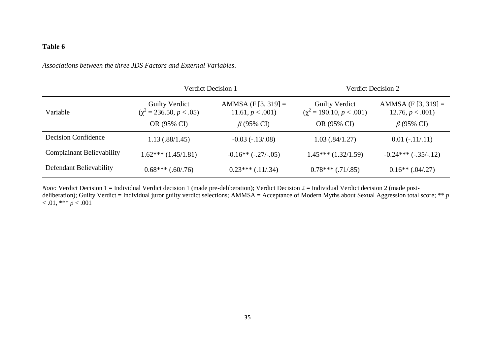| Associations between the three JDS Factors and External Variables. |  |  |
|--------------------------------------------------------------------|--|--|
|--------------------------------------------------------------------|--|--|

|                                  |                                                                      | Verdict Decision 1                                           | Verdict Decision 2                                                    |                                                              |  |
|----------------------------------|----------------------------------------------------------------------|--------------------------------------------------------------|-----------------------------------------------------------------------|--------------------------------------------------------------|--|
| Variable                         | <b>Guilty Verdict</b><br>$(\chi^2 = 236.50, p < .05)$<br>OR (95% CI) | AMMSA (F $[3, 319] =$<br>11.61, p < .001<br>$\beta$ (95% CI) | <b>Guilty Verdict</b><br>$(\chi^2 = 190.10, p < .001)$<br>OR (95% CI) | AMMSA (F $[3, 319] =$<br>12.76, p < .001<br>$\beta$ (95% CI) |  |
| <b>Decision Confidence</b>       | 1.13(.88/1.45)                                                       | $-0.03$ $(-.13/08)$                                          | 1.03(.84/1.27)                                                        | $0.01$ ( $-11/11$ )                                          |  |
| <b>Complainant Believability</b> | $1.62***(1.45/1.81)$                                                 | $-0.16**(-0.27/-05)$                                         | $1.45***(1.32/1.59)$                                                  | $-0.24***(-.35/-.12)$                                        |  |
| Defendant Believability          | $0.68***$ (.60/.76)                                                  | $0.23***$ $(.11/.34)$                                        | $0.78***$ (.71/.85)                                                   | $0.16**$ (.04/.27)                                           |  |

*Note:* Verdict Decision 1 = Individual Verdict decision 1 (made pre-deliberation); Verdict Decision 2 = Individual Verdict decision 2 (made postdeliberation); Guilty Verdict = Individual juror guilty verdict selections; AMMSA = Acceptance of Modern Myths about Sexual Aggression total score; \*\* *p*   $< 0.01$ , \*\*\* *p*  $< 0.001$